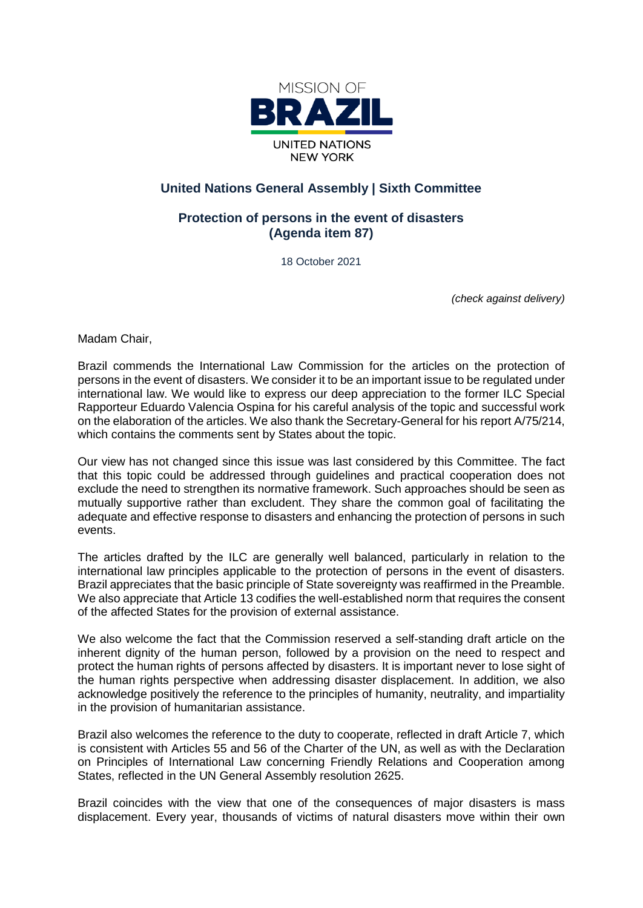

## **United Nations General Assembly | Sixth Committee**

## **Protection of persons in the event of disasters (Agenda item 87)**

18 October 2021

*(check against delivery)*

Madam Chair,

Brazil commends the International Law Commission for the articles on the protection of persons in the event of disasters. We consider it to be an important issue to be regulated under international law. We would like to express our deep appreciation to the former ILC Special Rapporteur Eduardo Valencia Ospina for his careful analysis of the topic and successful work on the elaboration of the articles. We also thank the Secretary-General for his report A/75/214, which contains the comments sent by States about the topic.

Our view has not changed since this issue was last considered by this Committee. The fact that this topic could be addressed through guidelines and practical cooperation does not exclude the need to strengthen its normative framework. Such approaches should be seen as mutually supportive rather than excludent. They share the common goal of facilitating the adequate and effective response to disasters and enhancing the protection of persons in such events.

The articles drafted by the ILC are generally well balanced, particularly in relation to the international law principles applicable to the protection of persons in the event of disasters. Brazil appreciates that the basic principle of State sovereignty was reaffirmed in the Preamble. We also appreciate that Article 13 codifies the well-established norm that requires the consent of the affected States for the provision of external assistance.

We also welcome the fact that the Commission reserved a self-standing draft article on the inherent dignity of the human person, followed by a provision on the need to respect and protect the human rights of persons affected by disasters. It is important never to lose sight of the human rights perspective when addressing disaster displacement. In addition, we also acknowledge positively the reference to the principles of humanity, neutrality, and impartiality in the provision of humanitarian assistance.

Brazil also welcomes the reference to the duty to cooperate, reflected in draft Article 7, which is consistent with Articles 55 and 56 of the Charter of the UN, as well as with the Declaration on Principles of International Law concerning Friendly Relations and Cooperation among States, reflected in the UN General Assembly resolution 2625.

Brazil coincides with the view that one of the consequences of major disasters is mass displacement. Every year, thousands of victims of natural disasters move within their own